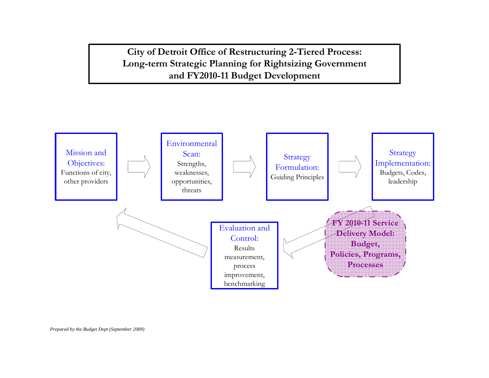**City of Detroit Office of Restructuring 2-Tiered Process: Long-term Strategic Planning for Rightsizing Government and FY2010-11 Budget Development**

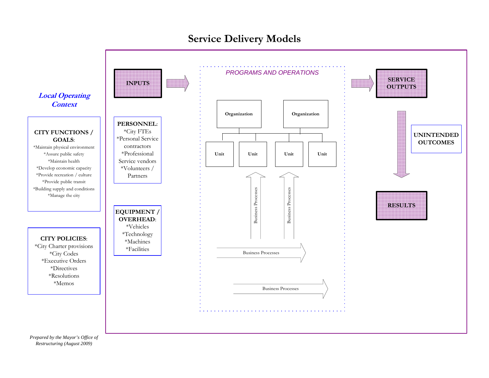

**Service Delivery Models**

*Prepared by the Mayor's Office of Restructuring (August 2009)*